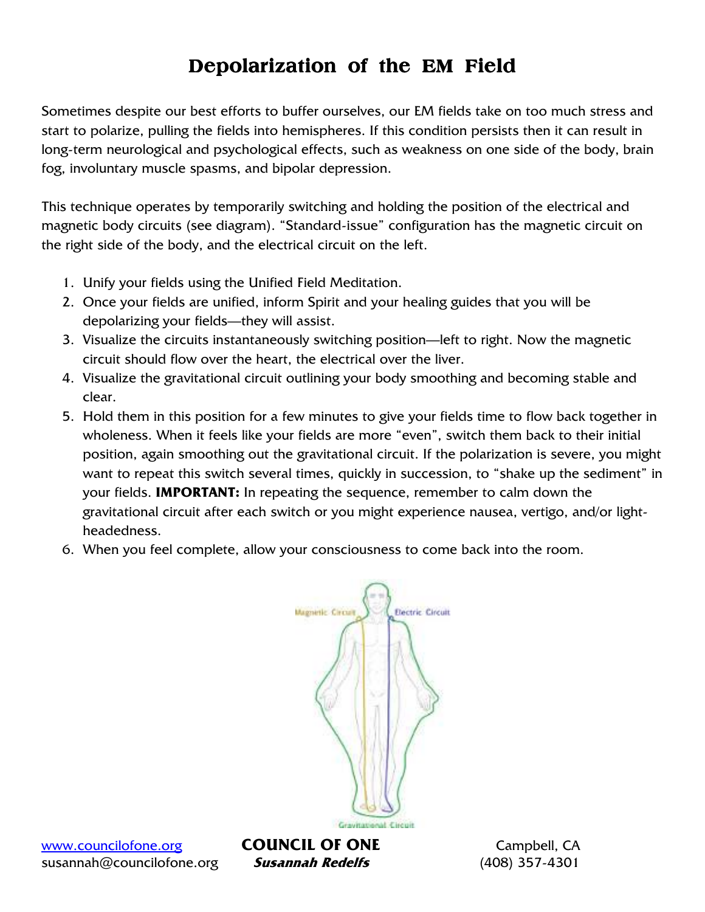## **Depolarization of the EM Field**

Sometimes despite our best efforts to buffer ourselves, our EM fields take on too much stress and start to polarize, pulling the fields into hemispheres. If this condition persists then it can result in long-term neurological and psychological effects, such as weakness on one side of the body, brain fog, involuntary muscle spasms, and bipolar depression.

This technique operates by temporarily switching and holding the position of the electrical and magnetic body circuits (see diagram). "Standard-issue" configuration has the magnetic circuit on the right side of the body, and the electrical circuit on the left.

- 1. Unify your fields using the Unified Field Meditation.
- 2. Once your fields are unified, inform Spirit and your healing guides that you will be depolarizing your fields—they will assist.
- 3. Visualize the circuits instantaneously switching position—left to right. Now the magnetic circuit should flow over the heart, the electrical over the liver.
- 4. Visualize the gravitational circuit outlining your body smoothing and becoming stable and clear.
- 5. Hold them in this position for a few minutes to give your fields time to flow back together in wholeness. When it feels like your fields are more "even", switch them back to their initial position, again smoothing out the gravitational circuit. If the polarization is severe, you might want to repeat this switch several times, quickly in succession, to "shake up the sediment" in your fields. **IMPORTANT:** In repeating the sequence, remember to calm down the gravitational circuit after each switch or you might experience nausea, vertigo, and/or lightheadedness.
- 6. When you feel complete, allow your consciousness to come back into the room.



www.councilofone.org **COUNCIL OF ONE** Campbell, CA susannah@councilofone.org **Susannah Redelfs** (408) 357-4301